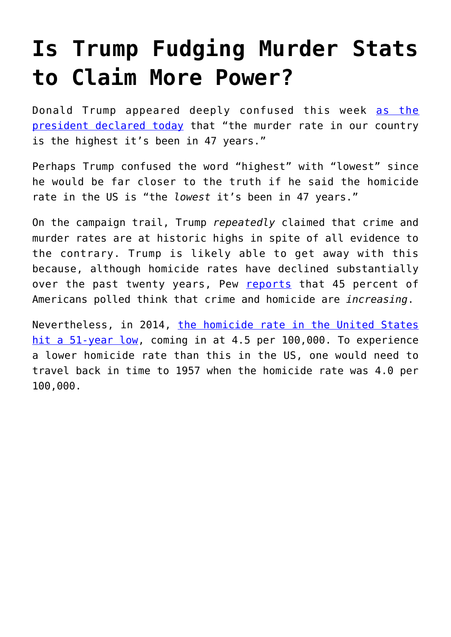## **[Is Trump Fudging Murder Stats](https://intellectualtakeout.org/2017/02/is-trump-fudging-murder-stats-to-claim-more-power/) [to Claim More Power?](https://intellectualtakeout.org/2017/02/is-trump-fudging-murder-stats-to-claim-more-power/)**

Donald Trump appeared deeply confused this week [as the](http://www.cnn.com/2017/02/07/politics/donald-trump-murder-rate-fact-check/) [president declared today](http://www.cnn.com/2017/02/07/politics/donald-trump-murder-rate-fact-check/) that "the murder rate in our country is the highest it's been in 47 years."

Perhaps Trump confused the word "highest" with "lowest" since he would be far closer to the truth if he said the homicide rate in the US is "the *lowest* it's been in 47 years."

On the campaign trail, Trump *repeatedly* claimed that crime and murder rates are at historic highs in spite of all evidence to the contrary. Trump is likely able to get away with this because, although homicide rates have declined substantially over the past twenty years, Pew [reports](https://mises.org/blog/pew-homicide-rates-cut-half-over-past-20-years-while-new-gun-ownership-soared) that 45 percent of Americans polled think that crime and homicide are *increasing*.

Nevertheless, in 2014, [the homicide rate in the United States](https://mises.org/blog/fbi-us-homicide-rate-51-year-low) [hit a 51-year low](https://mises.org/blog/fbi-us-homicide-rate-51-year-low), coming in at 4.5 per 100,000. To experience a lower homicide rate than this in the US, one would need to travel back in time to 1957 when the homicide rate was 4.0 per 100,000.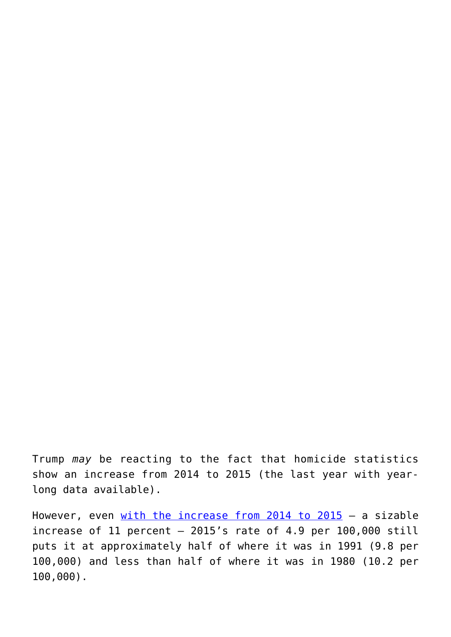Trump *may* be reacting to the fact that homicide statistics show an increase from 2014 to 2015 (the last year with yearlong data available).

However, even [with the increase from 2014 to 2015](https://mises.org/blog/2015-fbi-report-homicides-still-near-1950s-levels) - a sizable increase of 11 percent  $-$  2015's rate of 4.9 per 100,000 still puts it at approximately half of where it was in 1991 (9.8 per 100,000) and less than half of where it was in 1980 (10.2 per 100,000).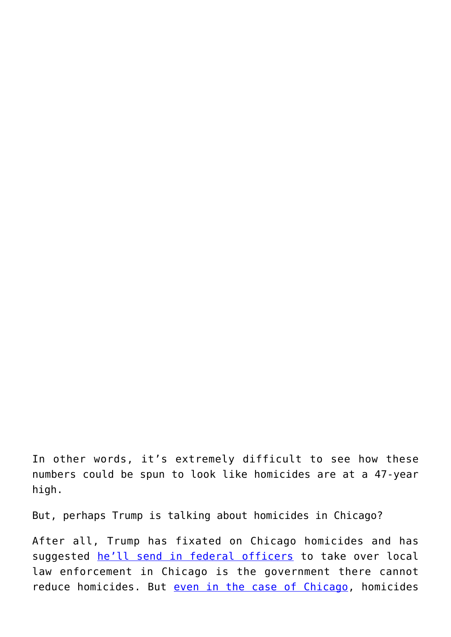In other words, it's extremely difficult to see how these numbers could be spun to look like homicides are at a 47-year high.

But, perhaps Trump is talking about homicides in Chicago?

After all, Trump has fixated on Chicago homicides and has suggested [he'll send in federal officers](http://www.cnn.com/2017/01/24/politics/donald-trump-chicago-carnage/) to take over local law enforcement in Chicago is the government there cannot reduce homicides. But [even in the case of Chicago,](http://isps.yale.edu/sites/default/files/publication/2013/12/48yearsofcrime_final_ispsworkingpaper023.pdf) homicides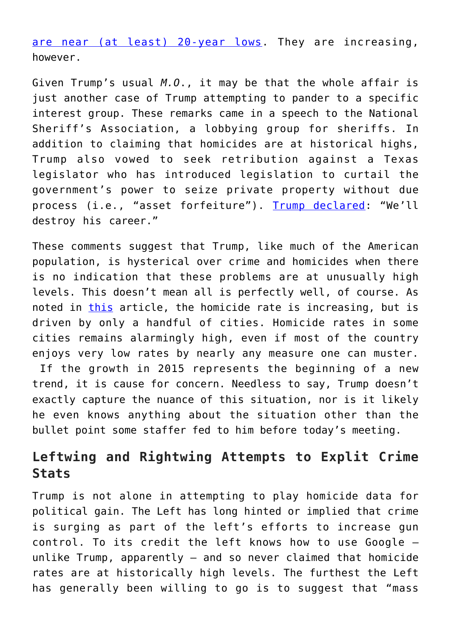[are near \(at least\) 20-year lows](http://redlineproject.org/homicidesbyyear.php). They are increasing, however.

Given Trump's usual *M.O*., it may be that the whole affair is just another case of Trump attempting to pander to a specific interest group. These remarks came in a speech to the National Sheriff's Association, a lobbying group for sheriffs. In addition to claiming that homicides are at historical highs, Trump also vowed to seek retribution against a Texas legislator who has introduced legislation to curtail the government's power to seize private property without due process (i.e., "asset forfeiture"). [Trump declared](http://www.thedailybeast.com/articles/2017/02/07/donald-trump-threatens-to-destroy-texas-senator.html?via=twitter_page): "We'll destroy his career."

These comments suggest that Trump, like much of the American population, is hysterical over crime and homicides when there is no indication that these problems are at unusually high levels. This doesn't mean all is perfectly well, of course. As noted in [this](https://mises.org/blog/2015-fbi-report-homicides-still-near-1950s-levels) article, the homicide rate is increasing, but is driven by only a handful of cities. Homicide rates in some cities remains alarmingly high, even if most of the country enjoys very low rates by nearly any measure one can muster. If the growth in 2015 represents the beginning of a new trend, it is cause for concern. Needless to say, Trump doesn't exactly capture the nuance of this situation, nor is it likely he even knows anything about the situation other than the bullet point some staffer fed to him before today's meeting.

## **Leftwing and Rightwing Attempts to Explit Crime Stats**

Trump is not alone in attempting to play homicide data for political gain. The Left has long hinted or implied that crime is surging as part of the left's efforts to increase gun control. To its credit the left knows how to use Google unlike Trump, apparently — and so never claimed that homicide rates are at historically high levels. The furthest the Left has generally been willing to go is to suggest that "mass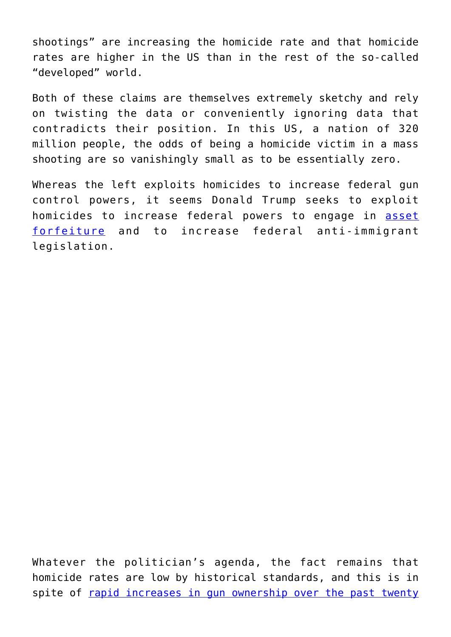shootings" are increasing the homicide rate and that homicide rates are higher in the US than in the rest of the so-called "developed" world.

Both of these claims are themselves extremely sketchy and rely on twisting the data or conveniently ignoring data that contradicts their position. In this US, a nation of 320 million people, the odds of being a homicide victim in a mass shooting are so vanishingly small as to be essentially zero.

Whereas the left exploits homicides to increase federal gun control powers, it seems Donald Trump seeks to exploit homicides to increase federal powers to engage in [asset](https://mises.org/blog/asset-forfeiture-and-income-tax) [forfeiture](https://mises.org/blog/asset-forfeiture-and-income-tax) and to increase federal anti-immigrant legislation.

Whatever the politician's agenda, the fact remains that homicide rates are low by historical standards, and this is in spite of [rapid increases in gun ownership over the past twenty](https://mises.org/blog/pew-homicide-rates-cut-half-over-past-20-years-while-new-gun-ownership-soared)